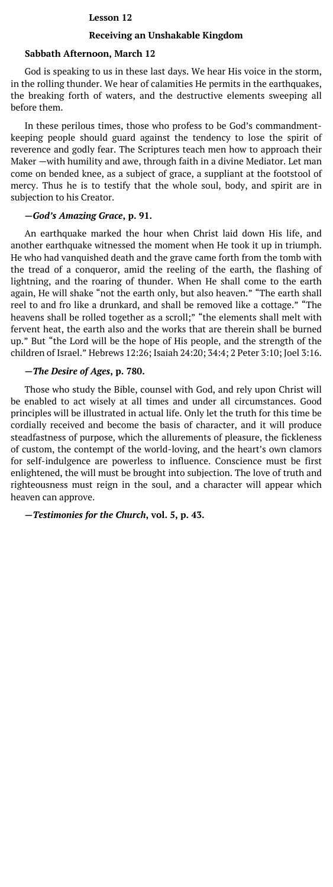# **Lesson 12**

#### **Receiving an Unshakable Kingdom**

#### **Sabbath Afternoon, March 12**

God is speaking to us in these last days. We hear His voice in the storm, in the rolling thunder. We hear of calamities He permits in the earthquakes, the breaking forth of waters, and the destructive elements sweeping all before them.

In these perilous times, those who profess to be God's commandmentkeeping people should guard against the tendency to lose the spirit of reverence and godly fear. The Scriptures teach men how to approach their Maker —with humility and awe, through faith in a divine Mediator. Let man come on bended knee, as a subject of grace, a suppliant at the footstool of mercy. Thus he is to testify that the whole soul, body, and spirit are in subjection to his Creator.

# **—***God's Amazing Grace***, p. 91.**

An earthquake marked the hour when Christ laid down His life, and another earthquake witnessed the moment when He took it up in triumph. He who had vanquished death and the grave came forth from the tomb with the tread of a conqueror, amid the reeling of the earth, the flashing of lightning, and the roaring of thunder. When He shall come to the earth again, He will shake "not the earth only, but also heaven." "The earth shall reel to and fro like a drunkard, and shall be removed like a cottage." "The heavens shall be rolled together as a scroll;" "the elements shall melt with fervent heat, the earth also and the works that are therein shall be burned up." But "the Lord will be the hope of His people, and the strength of the children of Israel." Hebrews 12:26; Isaiah 24:20; 34:4; 2 Peter 3:10; Joel 3:16.

#### **—***The Desire of Ages***, p. 780.**

Those who study the Bible, counsel with God, and rely upon Christ will be enabled to act wisely at all times and under all circumstances. Good principles will be illustrated in actual life. Only let the truth for this time be cordially received and become the basis of character, and it will produce steadfastness of purpose, which the allurements of pleasure, the fickleness of custom, the contempt of the world-loving, and the heart's own clamors for self-indulgence are powerless to influence. Conscience must be first enlightened, the will must be brought into subjection. The love of truth and righteousness must reign in the soul, and a character will appear which heaven can approve.

**—***Testimonies for the Church***, vol. 5, p. 43.**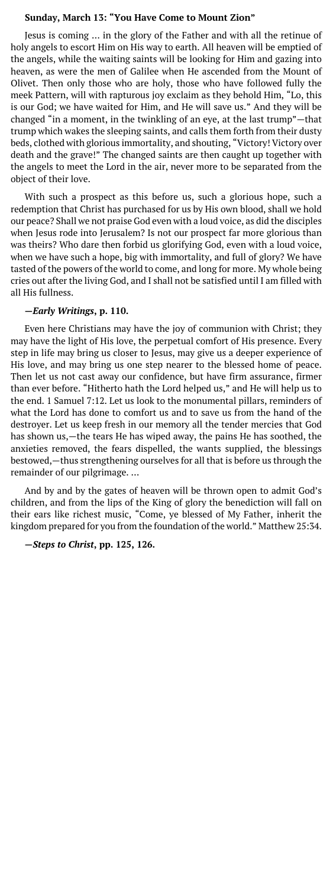#### **Sunday, March 13: "You Have Come to Mount Zion"**

Jesus is coming … in the glory of the Father and with all the retinue of holy angels to escort Him on His way to earth. All heaven will be emptied of the angels, while the waiting saints will be looking for Him and gazing into heaven, as were the men of Galilee when He ascended from the Mount of Olivet. Then only those who are holy, those who have followed fully the meek Pattern, will with rapturous joy exclaim as they behold Him, "Lo, this is our God; we have waited for Him, and He will save us." And they will be changed "in a moment, in the twinkling of an eye, at the last trump"—that trump which wakes the sleeping saints, and calls them forth from their dusty beds, clothed with glorious immortality, and shouting, "Victory! Victory over death and the grave!" The changed saints are then caught up together with the angels to meet the Lord in the air, never more to be separated from the object of their love.

With such a prospect as this before us, such a glorious hope, such a redemption that Christ has purchased for us by His own blood, shall we hold our peace? Shall we not praise God even with a loud voice, as did the disciples when Jesus rode into Jerusalem? Is not our prospect far more glorious than was theirs? Who dare then forbid us glorifying God, even with a loud voice, when we have such a hope, big with immortality, and full of glory? We have tasted of the powers of the world to come, and long for more. My whole being cries out after the living God, and I shall not be satisfied until I am filled with all His fullness.

## **—***Early Writings***, p. 110.**

Even here Christians may have the joy of communion with Christ; they may have the light of His love, the perpetual comfort of His presence. Every step in life may bring us closer to Jesus, may give us a deeper experience of His love, and may bring us one step nearer to the blessed home of peace. Then let us not cast away our confidence, but have firm assurance, firmer than ever before. "Hitherto hath the Lord helped us," and He will help us to the end. 1 Samuel 7:12. Let us look to the monumental pillars, reminders of what the Lord has done to comfort us and to save us from the hand of the destroyer. Let us keep fresh in our memory all the tender mercies that God has shown us,—the tears He has wiped away, the pains He has soothed, the anxieties removed, the fears dispelled, the wants supplied, the blessings bestowed,—thus strengthening ourselves for all that is before us through the remainder of our pilgrimage. …

And by and by the gates of heaven will be thrown open to admit God's children, and from the lips of the King of glory the benediction will fall on their ears like richest music, "Come, ye blessed of My Father, inherit the kingdom prepared for you from the foundation of the world." Matthew 25:34.

# **—***Steps to Christ***, pp. 125, 126.**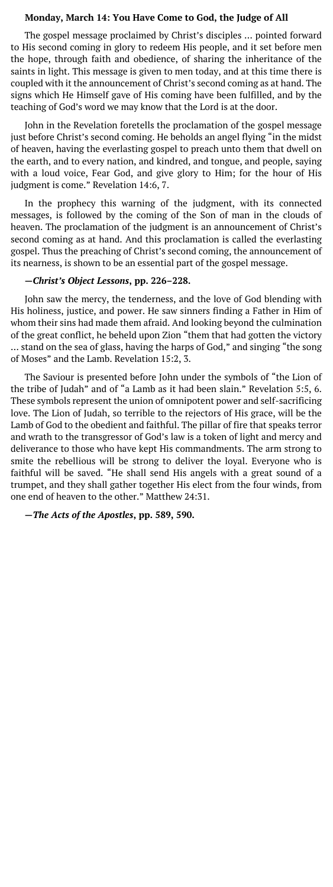#### **Monday, March 14: You Have Come to God, the Judge of All**

The gospel message proclaimed by Christ's disciples … pointed forward to His second coming in glory to redeem His people, and it set before men the hope, through faith and obedience, of sharing the inheritance of the saints in light. This message is given to men today, and at this time there is coupled with it the announcement of Christ's second coming as at hand. The signs which He Himself gave of His coming have been fulfilled, and by the teaching of God's word we may know that the Lord is at the door.

John in the Revelation foretells the proclamation of the gospel message just before Christ's second coming. He beholds an angel flying "in the midst of heaven, having the everlasting gospel to preach unto them that dwell on the earth, and to every nation, and kindred, and tongue, and people, saying with a loud voice, Fear God, and give glory to Him; for the hour of His judgment is come." Revelation 14:6, 7.

In the prophecy this warning of the judgment, with its connected messages, is followed by the coming of the Son of man in the clouds of heaven. The proclamation of the judgment is an announcement of Christ's second coming as at hand. And this proclamation is called the everlasting gospel. Thus the preaching of Christ's second coming, the announcement of its nearness, is shown to be an essential part of the gospel message.

#### **—***Christ's Object Lessons***, pp. 226–228.**

John saw the mercy, the tenderness, and the love of God blending with His holiness, justice, and power. He saw sinners finding a Father in Him of whom their sins had made them afraid. And looking beyond the culmination of the great conflict, he beheld upon Zion "them that had gotten the victory … stand on the sea of glass, having the harps of God," and singing "the song of Moses" and the Lamb. Revelation 15:2, 3.

The Saviour is presented before John under the symbols of "the Lion of the tribe of Judah" and of "a Lamb as it had been slain." Revelation 5:5, 6. These symbols represent the union of omnipotent power and self-sacrificing love. The Lion of Judah, so terrible to the rejectors of His grace, will be the Lamb of God to the obedient and faithful. The pillar of fire that speaks terror and wrath to the transgressor of God's law is a token of light and mercy and deliverance to those who have kept His commandments. The arm strong to smite the rebellious will be strong to deliver the loyal. Everyone who is faithful will be saved. "He shall send His angels with a great sound of a trumpet, and they shall gather together His elect from the four winds, from one end of heaven to the other." Matthew 24:31.

**—***The Acts of the Apostles***, pp. 589, 590.**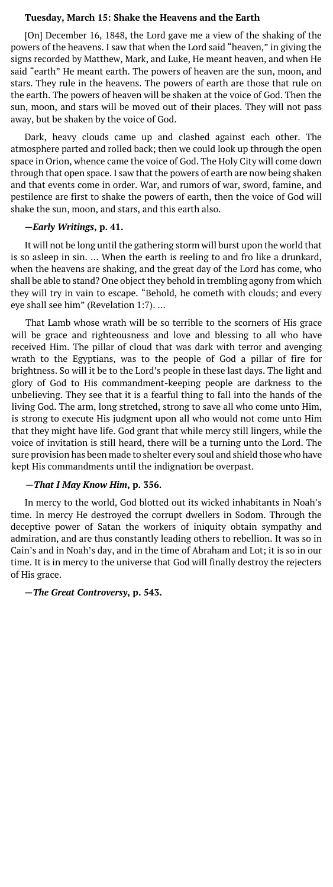#### **Tuesday, March 15: Shake the Heavens and the Earth**

[On] December 16, 1848, the Lord gave me a view of the shaking of the powers of the heavens. I saw that when the Lord said "heaven," in giving the signs recorded by Matthew, Mark, and Luke, He meant heaven, and when He said "earth" He meant earth. The powers of heaven are the sun, moon, and stars. They rule in the heavens. The powers of earth are those that rule on the earth. The powers of heaven will be shaken at the voice of God. Then the sun, moon, and stars will be moved out of their places. They will not pass away, but be shaken by the voice of God.

Dark, heavy clouds came up and clashed against each other. The atmosphere parted and rolled back; then we could look up through the open space in Orion, whence came the voice of God. The Holy City will come down through that open space. I saw that the powers of earth are now being shaken and that events come in order. War, and rumors of war, sword, famine, and pestilence are first to shake the powers of earth, then the voice of God will shake the sun, moon, and stars, and this earth also.

## **—***Early Writings***, p. 41.**

It will not be long until the gathering storm will burst upon the world that is so asleep in sin. … When the earth is reeling to and fro like a drunkard, when the heavens are shaking, and the great day of the Lord has come, who shall be able to stand? One object they behold in trembling agony from which they will try in vain to escape. "Behold, he cometh with clouds; and every eye shall see him" (Revelation 1:7). …

That Lamb whose wrath will be so terrible to the scorners of His grace will be grace and righteousness and love and blessing to all who have received Him. The pillar of cloud that was dark with terror and avenging wrath to the Egyptians, was to the people of God a pillar of fire for brightness. So will it be to the Lord's people in these last days. The light and glory of God to His commandment-keeping people are darkness to the unbelieving. They see that it is a fearful thing to fall into the hands of the living God. The arm, long stretched, strong to save all who come unto Him, is strong to execute His judgment upon all who would not come unto Him that they might have life. God grant that while mercy still lingers, while the voice of invitation is still heard, there will be a turning unto the Lord. The sure provision has been made to shelter every soul and shield those who have kept His commandments until the indignation be overpast.

## **—***That I May Know Him***, p. 356.**

In mercy to the world, God blotted out its wicked inhabitants in Noah's time. In mercy He destroyed the corrupt dwellers in Sodom. Through the deceptive power of Satan the workers of iniquity obtain sympathy and admiration, and are thus constantly leading others to rebellion. It was so in Cain's and in Noah's day, and in the time of Abraham and Lot; it is so in our time. It is in mercy to the universe that God will finally destroy the rejecters of His grace.

## **—***The Great Controversy***, p. 543.**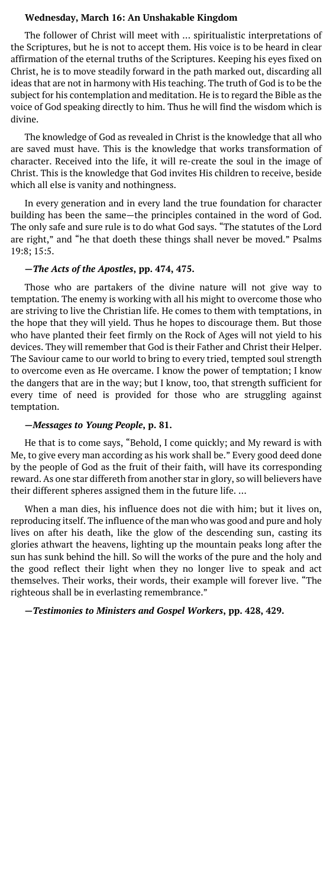## **Wednesday, March 16: An Unshakable Kingdom**

The follower of Christ will meet with … spiritualistic interpretations of the Scriptures, but he is not to accept them. His voice is to be heard in clear affirmation of the eternal truths of the Scriptures. Keeping his eyes fixed on Christ, he is to move steadily forward in the path marked out, discarding all ideas that are not in harmony with His teaching. The truth of God is to be the subject for his contemplation and meditation. He is to regard the Bible as the voice of God speaking directly to him. Thus he will find the wisdom which is divine.

The knowledge of God as revealed in Christ is the knowledge that all who are saved must have. This is the knowledge that works transformation of character. Received into the life, it will re-create the soul in the image of Christ. This is the knowledge that God invites His children to receive, beside which all else is vanity and nothingness.

In every generation and in every land the true foundation for character building has been the same—the principles contained in the word of God. The only safe and sure rule is to do what God says. "The statutes of the Lord are right," and "he that doeth these things shall never be moved." Psalms 19:8; 15:5.

# **—***The Acts of the Apostles***, pp. 474, 475.**

Those who are partakers of the divine nature will not give way to temptation. The enemy is working with all his might to overcome those who are striving to live the Christian life. He comes to them with temptations, in the hope that they will yield. Thus he hopes to discourage them. But those who have planted their feet firmly on the Rock of Ages will not yield to his devices. They will remember that God is their Father and Christ their Helper. The Saviour came to our world to bring to every tried, tempted soul strength to overcome even as He overcame. I know the power of temptation; I know the dangers that are in the way; but I know, too, that strength sufficient for every time of need is provided for those who are struggling against temptation.

#### **—***Messages to Young People***, p. 81.**

He that is to come says, "Behold, I come quickly; and My reward is with Me, to give every man according as his work shall be." Every good deed done by the people of God as the fruit of their faith, will have its corresponding reward. As one star differeth from another star in glory, so will believers have their different spheres assigned them in the future life. …

When a man dies, his influence does not die with him; but it lives on, reproducing itself. The influence of the man who was good and pure and holy lives on after his death, like the glow of the descending sun, casting its glories athwart the heavens, lighting up the mountain peaks long after the sun has sunk behind the hill. So will the works of the pure and the holy and the good reflect their light when they no longer live to speak and act themselves. Their works, their words, their example will forever live. "The righteous shall be in everlasting remembrance."

**—***Testimonies to Ministers and Gospel Workers***, pp. 428, 429.**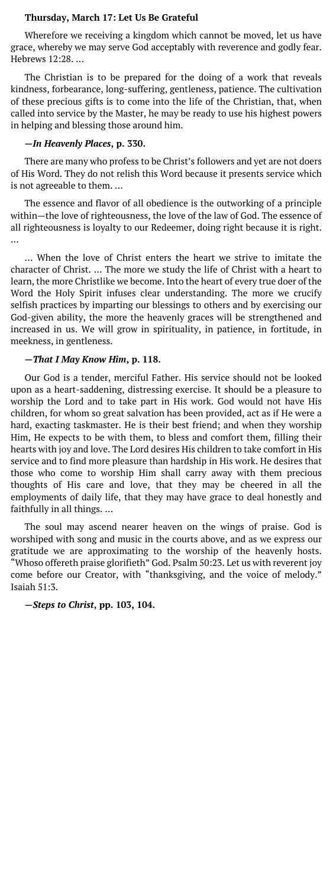## **Thursday, March 17: Let Us Be Grateful**

Wherefore we receiving a kingdom which cannot be moved, let us have grace, whereby we may serve God acceptably with reverence and godly fear. Hebrews 12:28. …

The Christian is to be prepared for the doing of a work that reveals kindness, forbearance, long-suffering, gentleness, patience. The cultivation of these precious gifts is to come into the life of the Christian, that, when called into service by the Master, he may be ready to use his highest powers in helping and blessing those around him.

## **—***In Heavenly Places***, p. 330.**

There are many who profess to be Christ's followers and yet are not doers of His Word. They do not relish this Word because it presents service which is not agreeable to them. …

The essence and flavor of all obedience is the outworking of a principle within—the love of righteousness, the love of the law of God. The essence of all righteousness is loyalty to our Redeemer, doing right because it is right. …

… When the love of Christ enters the heart we strive to imitate the character of Christ. … The more we study the life of Christ with a heart to learn, the more Christlike we become. Into the heart of every true doer of the Word the Holy Spirit infuses clear understanding. The more we crucify selfish practices by imparting our blessings to others and by exercising our God-given ability, the more the heavenly graces will be strengthened and increased in us. We will grow in spirituality, in patience, in fortitude, in meekness, in gentleness.

## **—***That I May Know Him***, p. 118.**

Our God is a tender, merciful Father. His service should not be looked upon as a heart-saddening, distressing exercise. It should be a pleasure to worship the Lord and to take part in His work. God would not have His children, for whom so great salvation has been provided, act as if He were a hard, exacting taskmaster. He is their best friend; and when they worship Him, He expects to be with them, to bless and comfort them, filling their hearts with joy and love. The Lord desires His children to take comfort in His service and to find more pleasure than hardship in His work. He desires that those who come to worship Him shall carry away with them precious thoughts of His care and love, that they may be cheered in all the employments of daily life, that they may have grace to deal honestly and faithfully in all things. …

The soul may ascend nearer heaven on the wings of praise. God is worshiped with song and music in the courts above, and as we express our gratitude we are approximating to the worship of the heavenly hosts. "Whoso offereth praise glorifieth" God. Psalm 50:23. Let us with reverent joy come before our Creator, with "thanksgiving, and the voice of melody." Isaiah 51:3.

**—***Steps to Christ***, pp. 103, 104.**